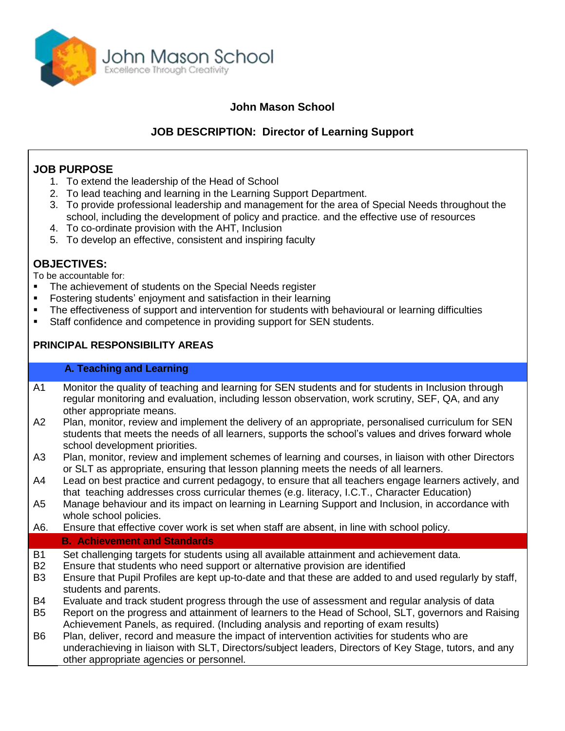

## **John Mason School**

# **JOB DESCRIPTION: Director of Learning Support**

## **JOB PURPOSE**

- 1. To extend the leadership of the Head of School
- 2. To lead teaching and learning in the Learning Support Department.
- 3. To provide professional leadership and management for the area of Special Needs throughout the school, including the development of policy and practice. and the effective use of resources
- 4. To co-ordinate provision with the AHT, Inclusion
- 5. To develop an effective, consistent and inspiring faculty

### **OBJECTIVES:**

To be accountable for:

- The achievement of students on the Special Needs register
- Fostering students' enjoyment and satisfaction in their learning
- The effectiveness of support and intervention for students with behavioural or learning difficulties
- Staff confidence and competence in providing support for SEN students.

### **PRINCIPAL RESPONSIBILITY AREAS**

#### **A. Teaching and Learning**

- A1 Monitor the quality of teaching and learning for SEN students and for students in Inclusion through regular monitoring and evaluation, including lesson observation, work scrutiny, SEF, QA, and any other appropriate means.
- A2 Plan, monitor, review and implement the delivery of an appropriate, personalised curriculum for SEN students that meets the needs of all learners, supports the school's values and drives forward whole school development priorities.
- A3 Plan, monitor, review and implement schemes of learning and courses, in liaison with other Directors or SLT as appropriate, ensuring that lesson planning meets the needs of all learners.
- A4 Lead on best practice and current pedagogy, to ensure that all teachers engage learners actively, and that teaching addresses cross curricular themes (e.g. literacy, I.C.T., Character Education)
- A5 Manage behaviour and its impact on learning in Learning Support and Inclusion, in accordance with whole school policies.
- A6. Ensure that effective cover work is set when staff are absent, in line with school policy.

#### **B. Achievement and Standards**

- B1 Set challenging targets for students using all available attainment and achievement data.
- B2 Ensure that students who need support or alternative provision are identified
- B3 Ensure that Pupil Profiles are kept up-to-date and that these are added to and used regularly by staff, students and parents.
- B4 Evaluate and track student progress through the use of assessment and regular analysis of data
- B5 Report on the progress and attainment of learners to the Head of School, SLT, governors and Raising Achievement Panels, as required. (Including analysis and reporting of exam results)
- B6 Plan, deliver, record and measure the impact of intervention activities for students who are underachieving in liaison with SLT, Directors/subject leaders, Directors of Key Stage, tutors, and any other appropriate agencies or personnel.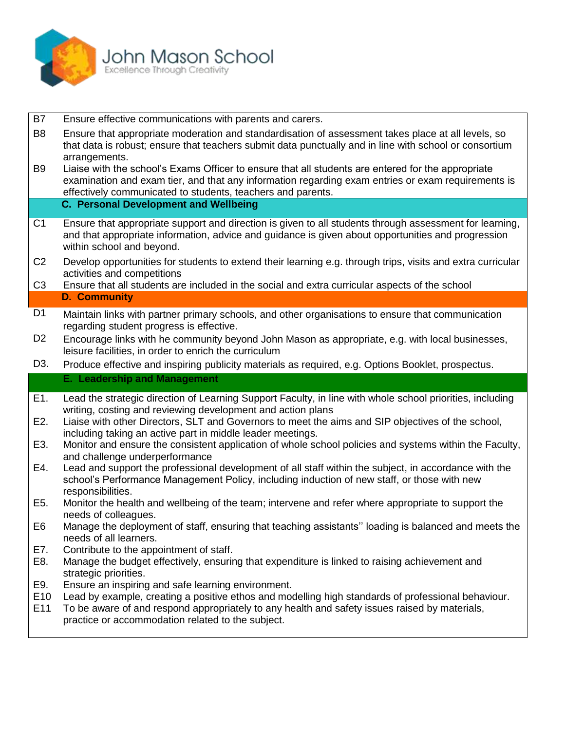

| B <sub>8</sub> | Ensure effective communications with parents and carers.                                                                                                                                                                                                                |
|----------------|-------------------------------------------------------------------------------------------------------------------------------------------------------------------------------------------------------------------------------------------------------------------------|
|                | Ensure that appropriate moderation and standardisation of assessment takes place at all levels, so<br>that data is robust; ensure that teachers submit data punctually and in line with school or consortium<br>arrangements.                                           |
| B <sub>9</sub> | Liaise with the school's Exams Officer to ensure that all students are entered for the appropriate<br>examination and exam tier, and that any information regarding exam entries or exam requirements is<br>effectively communicated to students, teachers and parents. |
|                | <b>C. Personal Development and Wellbeing</b>                                                                                                                                                                                                                            |
| C <sub>1</sub> | Ensure that appropriate support and direction is given to all students through assessment for learning,<br>and that appropriate information, advice and guidance is given about opportunities and progression<br>within school and beyond.                              |
| C <sub>2</sub> | Develop opportunities for students to extend their learning e.g. through trips, visits and extra curricular<br>activities and competitions                                                                                                                              |
| C <sub>3</sub> | Ensure that all students are included in the social and extra curricular aspects of the school                                                                                                                                                                          |
|                | <b>D. Community</b>                                                                                                                                                                                                                                                     |
| D <sub>1</sub> | Maintain links with partner primary schools, and other organisations to ensure that communication<br>regarding student progress is effective.                                                                                                                           |
| D <sub>2</sub> | Encourage links with he community beyond John Mason as appropriate, e.g. with local businesses,<br>leisure facilities, in order to enrich the curriculum                                                                                                                |
| D3.            | Produce effective and inspiring publicity materials as required, e.g. Options Booklet, prospectus.                                                                                                                                                                      |
|                | <b>E. Leadership and Management</b>                                                                                                                                                                                                                                     |
| E1.            | Lead the strategic direction of Learning Support Faculty, in line with whole school priorities, including                                                                                                                                                               |
|                |                                                                                                                                                                                                                                                                         |
| E2.            | writing, costing and reviewing development and action plans<br>Liaise with other Directors, SLT and Governors to meet the aims and SIP objectives of the school,                                                                                                        |
| E3.            | including taking an active part in middle leader meetings.<br>Monitor and ensure the consistent application of whole school policies and systems within the Faculty,                                                                                                    |
| E4.            | and challenge underperformance<br>Lead and support the professional development of all staff within the subject, in accordance with the<br>school's Performance Management Policy, including induction of new staff, or those with new                                  |
| E5.            | responsibilities.<br>Monitor the health and wellbeing of the team; intervene and refer where appropriate to support the                                                                                                                                                 |
| E <sub>6</sub> | needs of colleagues.<br>Manage the deployment of staff, ensuring that teaching assistants" loading is balanced and meets the                                                                                                                                            |
| E7.<br>E8.     | needs of all learners.<br>Contribute to the appointment of staff.<br>Manage the budget effectively, ensuring that expenditure is linked to raising achievement and<br>strategic priorities.                                                                             |